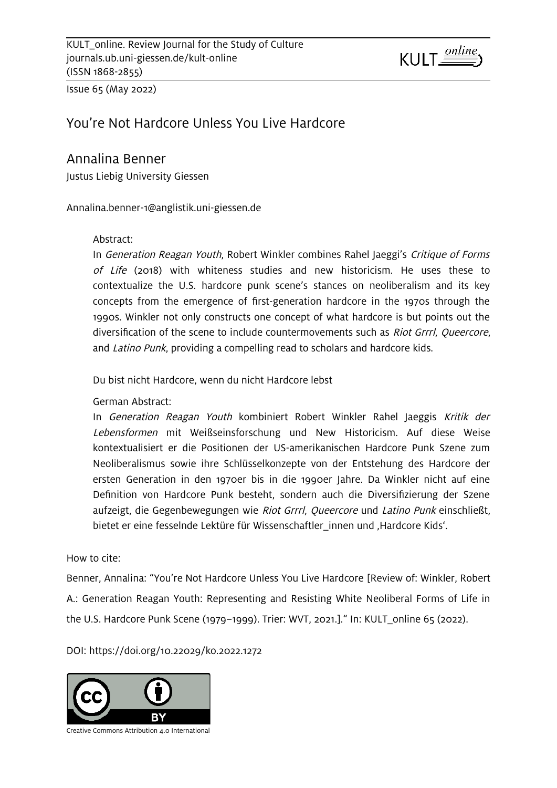

Issue 65 (May 2022)

## You're Not Hardcore Unless You Live Hardcore

## Annalina Benner

Justus Liebig University Giessen

[Annalina.benner-1@anglistik.uni-giessen.de](mailto:Annalina.benner-1@anglistik.uni-giessen.de)

#### Abstract:

In Generation Reagan Youth, Robert Winkler combines Rahel Jaeggi's Critique of Forms of Life (2018) with whiteness studies and new historicism. He uses these to contextualize the U.S. hardcore punk scene's stances on neoliberalism and its key concepts from the emergence of first-generation hardcore in the 1970s through the 1990s. Winkler not only constructs one concept of what hardcore is but points out the diversification of the scene to include countermovements such as *Riot Grrrl, Queercore*, and Latino Punk, providing a compelling read to scholars and hardcore kids.

Du bist nicht Hardcore, wenn du nicht Hardcore lebst

#### German Abstract:

In Generation Reagan Youth kombiniert Robert Winkler Rahel Jaeggis Kritik der Lebensformen mit Weißseinsforschung und New Historicism. Auf diese Weise kontextualisiert er die Positionen der US-amerikanischen Hardcore Punk Szene zum Neoliberalismus sowie ihre Schlüsselkonzepte von der Entstehung des Hardcore der ersten Generation in den 1970er bis in die 1990er Jahre. Da Winkler nicht auf eine Definition von Hardcore Punk besteht, sondern auch die Diversifizierung der Szene aufzeigt, die Gegenbewegungen wie Riot Grrrl, Queercore und Latino Punk einschließt, bietet er eine fesselnde Lektüre für Wissenschaftler innen und 'Hardcore Kids'.

How to cite:

Benner, Annalina: "You're Not Hardcore Unless You Live Hardcore [Review of: Winkler, Robert A.: Generation Reagan Youth: Representing and Resisting White Neoliberal Forms of Life in the U.S. Hardcore Punk Scene (1979–1999). Trier: WVT, 2021.]." In: KULT\_online 65 (2022).

DOI: [https://doi.org/10.22029/ko.2022.1272](https://doi.org/10.22029/ko.2022.1272KULT_online.%20Review%20Journal%20for%20the%20Study%20of%20Culture(ISSN%201868-2855))

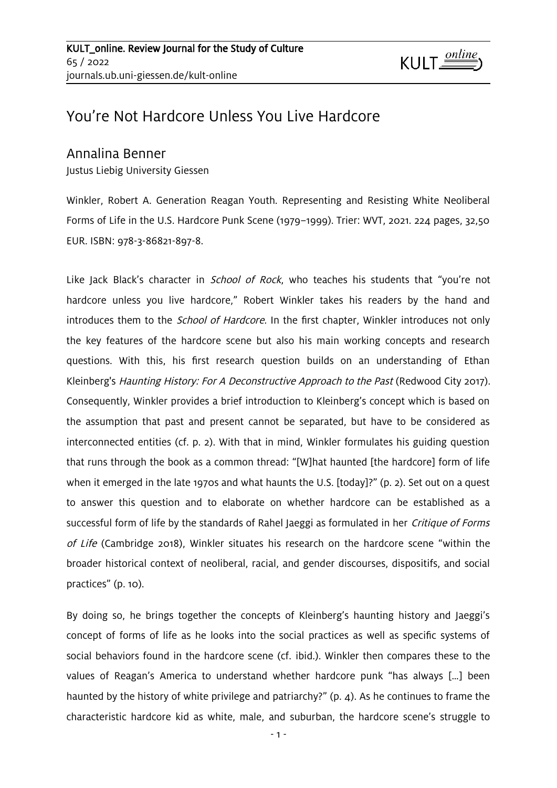# You're Not Hardcore Unless You Live Hardcore

## Annalina Benner

Justus Liebig University Giessen

Winkler, Robert A. Generation Reagan Youth. Representing and Resisting White Neoliberal Forms of Life in the U.S. Hardcore Punk Scene (1979–1999). Trier: WVT, 2021. 224 pages, 32,50 EUR. ISBN: 978-3-86821-897-8.

Like Jack Black's character in *School of Rock*, who teaches his students that "you're not hardcore unless you live hardcore," Robert Winkler takes his readers by the hand and introduces them to the *School of Hardcore*. In the first chapter, Winkler introduces not only the key features of the hardcore scene but also his main working concepts and research questions. With this, his first research question builds on an understanding of Ethan Kleinberg's Haunting History: For A Deconstructive Approach to the Past (Redwood City 2017). Consequently, Winkler provides a brief introduction to Kleinberg's concept which is based on the assumption that past and present cannot be separated, but have to be considered as interconnected entities (cf. p. 2). With that in mind, Winkler formulates his guiding question that runs through the book as a common thread: "[W]hat haunted [the hardcore] form of life when it emerged in the late 1970s and what haunts the U.S. [today]?" (p. 2). Set out on a quest to answer this question and to elaborate on whether hardcore can be established as a successful form of life by the standards of Rahel Jaeggi as formulated in her *Critique of Forms* of Life (Cambridge 2018), Winkler situates his research on the hardcore scene "within the broader historical context of neoliberal, racial, and gender discourses, dispositifs, and social practices" (p. 10).

By doing so, he brings together the concepts of Kleinberg's haunting history and Jaeggi's concept of forms of life as he looks into the social practices as well as specific systems of social behaviors found in the hardcore scene (cf. ibid.). Winkler then compares these to the values of Reagan's America to understand whether hardcore punk "has always […] been haunted by the history of white privilege and patriarchy?" (p. 4). As he continues to frame the characteristic hardcore kid as white, male, and suburban, the hardcore scene's struggle to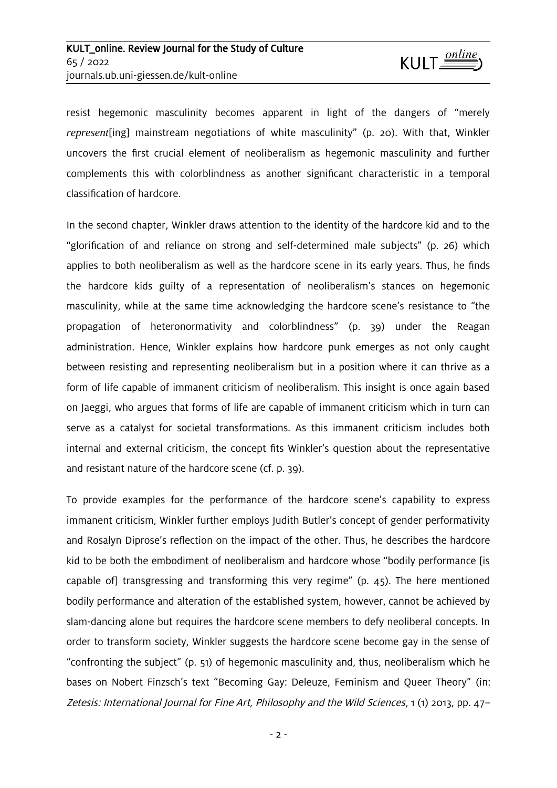resist hegemonic masculinity becomes apparent in light of the dangers of "merely *represent*[ing] mainstream negotiations of white masculinity" (p. 20). With that, Winkler uncovers the first crucial element of neoliberalism as hegemonic masculinity and further complements this with colorblindness as another significant characteristic in a temporal classification of hardcore.

In the second chapter, Winkler draws attention to the identity of the hardcore kid and to the "glorification of and reliance on strong and self-determined male subjects" (p. 26) which applies to both neoliberalism as well as the hardcore scene in its early years. Thus, he finds the hardcore kids guilty of a representation of neoliberalism's stances on hegemonic masculinity, while at the same time acknowledging the hardcore scene's resistance to "the propagation of heteronormativity and colorblindness" (p. 39) under the Reagan administration. Hence, Winkler explains how hardcore punk emerges as not only caught between resisting and representing neoliberalism but in a position where it can thrive as a form of life capable of immanent criticism of neoliberalism. This insight is once again based on Jaeggi, who argues that forms of life are capable of immanent criticism which in turn can serve as a catalyst for societal transformations. As this immanent criticism includes both internal and external criticism, the concept fits Winkler's question about the representative and resistant nature of the hardcore scene (cf. p. 39).

To provide examples for the performance of the hardcore scene's capability to express immanent criticism, Winkler further employs Judith Butler's concept of gender performativity and Rosalyn Diprose's reflection on the impact of the other. Thus, he describes the hardcore kid to be both the embodiment of neoliberalism and hardcore whose "bodily performance [is capable of] transgressing and transforming this very regime" (p. 45). The here mentioned bodily performance and alteration of the established system, however, cannot be achieved by slam-dancing alone but requires the hardcore scene members to defy neoliberal concepts. In order to transform society, Winkler suggests the hardcore scene become gay in the sense of "confronting the subject" (p. 51) of hegemonic masculinity and, thus, neoliberalism which he bases on Nobert Finzsch's text "Becoming Gay: Deleuze, Feminism and Queer Theory" (in: Zetesis: International Journal for Fine Art, Philosophy and the Wild Sciences, 1 (1) 2013, pp. 47–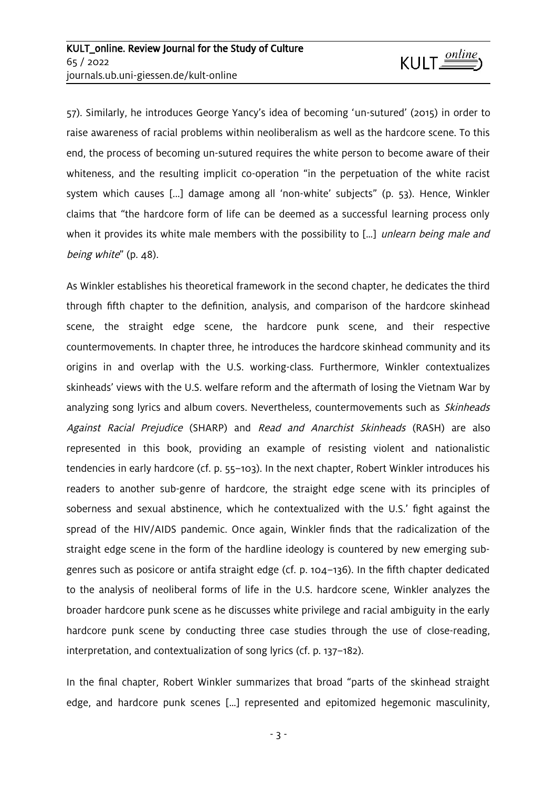57). Similarly, he introduces George Yancy's idea of becoming 'un-sutured' (2015) in order to raise awareness of racial problems within neoliberalism as well as the hardcore scene. To this end, the process of becoming un-sutured requires the white person to become aware of their whiteness, and the resulting implicit co-operation "in the perpetuation of the white racist system which causes [...] damage among all 'non-white' subjects" (p. 53). Hence, Winkler claims that "the hardcore form of life can be deemed as a successful learning process only when it provides its white male members with the possibility to [...] unlearn being male and being white" (p. 48).

As Winkler establishes his theoretical framework in the second chapter, he dedicates the third through fifth chapter to the definition, analysis, and comparison of the hardcore skinhead scene, the straight edge scene, the hardcore punk scene, and their respective countermovements. In chapter three, he introduces the hardcore skinhead community and its origins in and overlap with the U.S. working-class. Furthermore, Winkler contextualizes skinheads' views with the U.S. welfare reform and the aftermath of losing the Vietnam War by analyzing song lyrics and album covers. Nevertheless, countermovements such as *Skinheads* Against Racial Prejudice (SHARP) and Read and Anarchist Skinheads (RASH) are also represented in this book, providing an example of resisting violent and nationalistic tendencies in early hardcore (cf. p. 55–103). In the next chapter, Robert Winkler introduces his readers to another sub-genre of hardcore, the straight edge scene with its principles of soberness and sexual abstinence, which he contextualized with the U.S.' fight against the spread of the HIV/AIDS pandemic. Once again, Winkler finds that the radicalization of the straight edge scene in the form of the hardline ideology is countered by new emerging subgenres such as posicore or antifa straight edge (cf. p. 104–136). In the fifth chapter dedicated to the analysis of neoliberal forms of life in the U.S. hardcore scene, Winkler analyzes the broader hardcore punk scene as he discusses white privilege and racial ambiguity in the early hardcore punk scene by conducting three case studies through the use of close-reading, interpretation, and contextualization of song lyrics (cf. p. 137–182).

In the final chapter, Robert Winkler summarizes that broad "parts of the skinhead straight edge, and hardcore punk scenes […] represented and epitomized hegemonic masculinity,